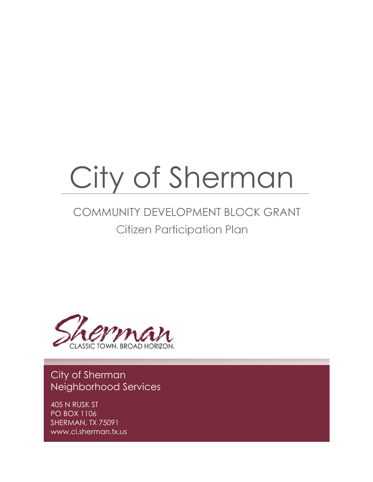# City of Sherman

# Citizen Participation Plan COMMUNITY DEVELOPMENT BLOCK GRANT



City of Sherman Neighborhood Services

405 N RUSK ST PO BOX 1106 SHERMAN, TX 75091 www.ci.sherman.tx.us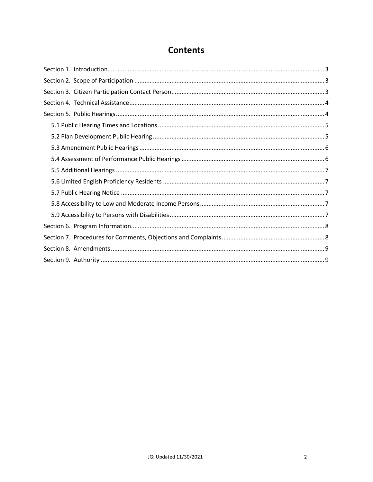# **Contents**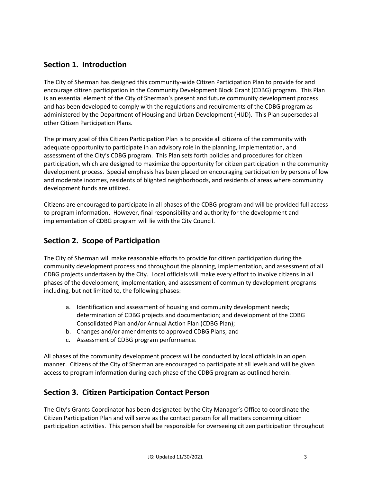# **Section 1. Introduction**

The City of Sherman has designed this community-wide Citizen Participation Plan to provide for and encourage citizen participation in the Community Development Block Grant (CDBG) program. This Plan is an essential element of the City of Sherman's present and future community development process and has been developed to comply with the regulations and requirements of the CDBG program as administered by the Department of Housing and Urban Development (HUD). This Plan supersedes all other Citizen Participation Plans.

The primary goal of this Citizen Participation Plan is to provide all citizens of the community with adequate opportunity to participate in an advisory role in the planning, implementation, and assessment of the City's CDBG program. This Plan sets forth policies and procedures for citizen participation, which are designed to maximize the opportunity for citizen participation in the community development process. Special emphasis has been placed on encouraging participation by persons of low and moderate incomes, residents of blighted neighborhoods, and residents of areas where community development funds are utilized.

Citizens are encouraged to participate in all phases of the CDBG program and will be provided full access to program information. However, final responsibility and authority for the development and implementation of CDBG program will lie with the City Council.

# **Section 2. Scope of Participation**

The City of Sherman will make reasonable efforts to provide for citizen participation during the community development process and throughout the planning, implementation, and assessment of all CDBG projects undertaken by the City. Local officials will make every effort to involve citizens in all phases of the development, implementation, and assessment of community development programs including, but not limited to, the following phases:

- a. Identification and assessment of housing and community development needs; determination of CDBG projects and documentation; and development of the CDBG Consolidated Plan and/or Annual Action Plan (CDBG Plan);
- b. Changes and/or amendments to approved CDBG Plans; and
- c. Assessment of CDBG program performance.

All phases of the community development process will be conducted by local officials in an open manner. Citizens of the City of Sherman are encouraged to participate at all levels and will be given access to program information during each phase of the CDBG program as outlined herein.

# **Section 3. Citizen Participation Contact Person**

The City's Grants Coordinator has been designated by the City Manager's Office to coordinate the Citizen Participation Plan and will serve as the contact person for all matters concerning citizen participation activities. This person shall be responsible for overseeing citizen participation throughout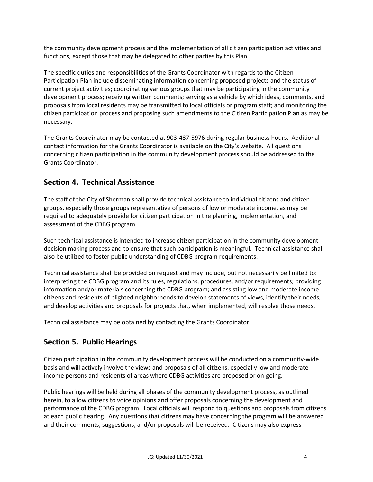the community development process and the implementation of all citizen participation activities and functions, except those that may be delegated to other parties by this Plan.

The specific duties and responsibilities of the Grants Coordinator with regards to the Citizen Participation Plan include disseminating information concerning proposed projects and the status of current project activities; coordinating various groups that may be participating in the community development process; receiving written comments; serving as a vehicle by which ideas, comments, and proposals from local residents may be transmitted to local officials or program staff; and monitoring the citizen participation process and proposing such amendments to the Citizen Participation Plan as may be necessary.

The Grants Coordinator may be contacted at 903-487-5976 during regular business hours. Additional contact information for the Grants Coordinator is available on the City's website. All questions concerning citizen participation in the community development process should be addressed to the Grants Coordinator.

# **Section 4. Technical Assistance**

The staff of the City of Sherman shall provide technical assistance to individual citizens and citizen groups, especially those groups representative of persons of low or moderate income, as may be required to adequately provide for citizen participation in the planning, implementation, and assessment of the CDBG program.

Such technical assistance is intended to increase citizen participation in the community development decision making process and to ensure that such participation is meaningful. Technical assistance shall also be utilized to foster public understanding of CDBG program requirements.

Technical assistance shall be provided on request and may include, but not necessarily be limited to: interpreting the CDBG program and its rules, regulations, procedures, and/or requirements; providing information and/or materials concerning the CDBG program; and assisting low and moderate income citizens and residents of blighted neighborhoods to develop statements of views, identify their needs, and develop activities and proposals for projects that, when implemented, will resolve those needs.

Technical assistance may be obtained by contacting the Grants Coordinator.

# **Section 5. Public Hearings**

Citizen participation in the community development process will be conducted on a community-wide basis and will actively involve the views and proposals of all citizens, especially low and moderate income persons and residents of areas where CDBG activities are proposed or on-going.

Public hearings will be held during all phases of the community development process, as outlined herein, to allow citizens to voice opinions and offer proposals concerning the development and performance of the CDBG program. Local officials will respond to questions and proposals from citizens at each public hearing. Any questions that citizens may have concerning the program will be answered and their comments, suggestions, and/or proposals will be received. Citizens may also express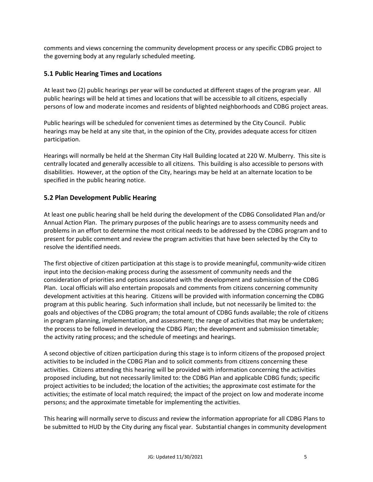comments and views concerning the community development process or any specific CDBG project to the governing body at any regularly scheduled meeting.

#### **5.1 Public Hearing Times and Locations**

At least two (2) public hearings per year will be conducted at different stages of the program year. All public hearings will be held at times and locations that will be accessible to all citizens, especially persons of low and moderate incomes and residents of blighted neighborhoods and CDBG project areas.

Public hearings will be scheduled for convenient times as determined by the City Council. Public hearings may be held at any site that, in the opinion of the City, provides adequate access for citizen participation.

Hearings will normally be held at the Sherman City Hall Building located at 220 W. Mulberry. This site is centrally located and generally accessible to all citizens. This building is also accessible to persons with disabilities. However, at the option of the City, hearings may be held at an alternate location to be specified in the public hearing notice.

#### **5.2 Plan Development Public Hearing**

At least one public hearing shall be held during the development of the CDBG Consolidated Plan and/or Annual Action Plan. The primary purposes of the public hearings are to assess community needs and problems in an effort to determine the most critical needs to be addressed by the CDBG program and to present for public comment and review the program activities that have been selected by the City to resolve the identified needs.

The first objective of citizen participation at this stage is to provide meaningful, community-wide citizen input into the decision-making process during the assessment of community needs and the consideration of priorities and options associated with the development and submission of the CDBG Plan. Local officials will also entertain proposals and comments from citizens concerning community development activities at this hearing. Citizens will be provided with information concerning the CDBG program at this public hearing. Such information shall include, but not necessarily be limited to: the goals and objectives of the CDBG program; the total amount of CDBG funds available; the role of citizens in program planning, implementation, and assessment; the range of activities that may be undertaken; the process to be followed in developing the CDBG Plan; the development and submission timetable; the activity rating process; and the schedule of meetings and hearings.

A second objective of citizen participation during this stage is to inform citizens of the proposed project activities to be included in the CDBG Plan and to solicit comments from citizens concerning these activities. Citizens attending this hearing will be provided with information concerning the activities proposed including, but not necessarily limited to: the CDBG Plan and applicable CDBG funds; specific project activities to be included; the location of the activities; the approximate cost estimate for the activities; the estimate of local match required; the impact of the project on low and moderate income persons; and the approximate timetable for implementing the activities.

This hearing will normally serve to discuss and review the information appropriate for all CDBG Plans to be submitted to HUD by the City during any fiscal year. Substantial changes in community development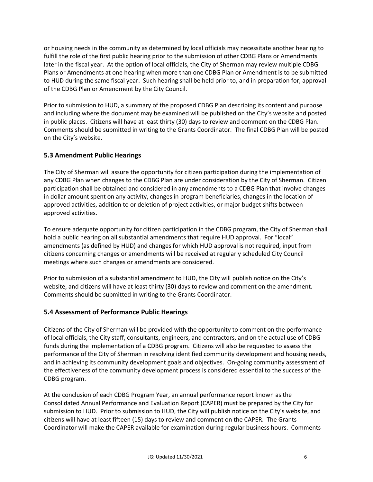or housing needs in the community as determined by local officials may necessitate another hearing to fulfill the role of the first public hearing prior to the submission of other CDBG Plans or Amendments later in the fiscal year. At the option of local officials, the City of Sherman may review multiple CDBG Plans or Amendments at one hearing when more than one CDBG Plan or Amendment is to be submitted to HUD during the same fiscal year. Such hearing shall be held prior to, and in preparation for, approval of the CDBG Plan or Amendment by the City Council.

Prior to submission to HUD, a summary of the proposed CDBG Plan describing its content and purpose and including where the document may be examined will be published on the City's website and posted in public places. Citizens will have at least thirty (30) days to review and comment on the CDBG Plan. Comments should be submitted in writing to the Grants Coordinator. The final CDBG Plan will be posted on the City's website.

#### **5.3 Amendment Public Hearings**

The City of Sherman will assure the opportunity for citizen participation during the implementation of any CDBG Plan when changes to the CDBG Plan are under consideration by the City of Sherman. Citizen participation shall be obtained and considered in any amendments to a CDBG Plan that involve changes in dollar amount spent on any activity, changes in program beneficiaries, changes in the location of approved activities, addition to or deletion of project activities, or major budget shifts between approved activities.

To ensure adequate opportunity for citizen participation in the CDBG program, the City of Sherman shall hold a public hearing on all substantial amendments that require HUD approval. For "local" amendments (as defined by HUD) and changes for which HUD approval is not required, input from citizens concerning changes or amendments will be received at regularly scheduled City Council meetings where such changes or amendments are considered.

Prior to submission of a substantial amendment to HUD, the City will publish notice on the City's website, and citizens will have at least thirty (30) days to review and comment on the amendment. Comments should be submitted in writing to the Grants Coordinator.

#### **5.4 Assessment of Performance Public Hearings**

Citizens of the City of Sherman will be provided with the opportunity to comment on the performance of local officials, the City staff, consultants, engineers, and contractors, and on the actual use of CDBG funds during the implementation of a CDBG program. Citizens will also be requested to assess the performance of the City of Sherman in resolving identified community development and housing needs, and in achieving its community development goals and objectives. On-going community assessment of the effectiveness of the community development process is considered essential to the success of the CDBG program.

At the conclusion of each CDBG Program Year, an annual performance report known as the Consolidated Annual Performance and Evaluation Report (CAPER) must be prepared by the City for submission to HUD. Prior to submission to HUD, the City will publish notice on the City's website, and citizens will have at least fifteen (15) days to review and comment on the CAPER. The Grants Coordinator will make the CAPER available for examination during regular business hours. Comments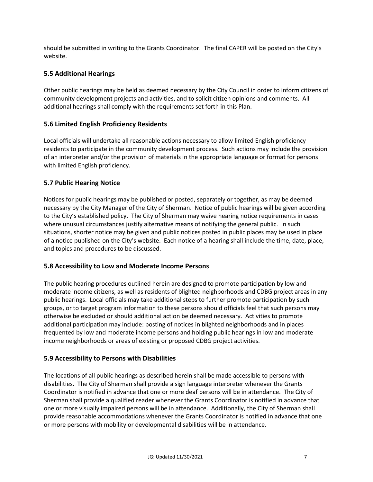should be submitted in writing to the Grants Coordinator. The final CAPER will be posted on the City's website.

#### **5.5 Additional Hearings**

Other public hearings may be held as deemed necessary by the City Council in order to inform citizens of community development projects and activities, and to solicit citizen opinions and comments. All additional hearings shall comply with the requirements set forth in this Plan.

#### **5.6 Limited English Proficiency Residents**

Local officials will undertake all reasonable actions necessary to allow limited English proficiency residents to participate in the community development process. Such actions may include the provision of an interpreter and/or the provision of materials in the appropriate language or format for persons with limited English proficiency.

#### **5.7 Public Hearing Notice**

Notices for public hearings may be published or posted, separately or together, as may be deemed necessary by the City Manager of the City of Sherman. Notice of public hearings will be given according to the City's established policy. The City of Sherman may waive hearing notice requirements in cases where unusual circumstances justify alternative means of notifying the general public. In such situations, shorter notice may be given and public notices posted in public places may be used in place of a notice published on the City's website. Each notice of a hearing shall include the time, date, place, and topics and procedures to be discussed.

#### **5.8 Accessibility to Low and Moderate Income Persons**

The public hearing procedures outlined herein are designed to promote participation by low and moderate income citizens, as well as residents of blighted neighborhoods and CDBG project areas in any public hearings. Local officials may take additional steps to further promote participation by such groups, or to target program information to these persons should officials feel that such persons may otherwise be excluded or should additional action be deemed necessary. Activities to promote additional participation may include: posting of notices in blighted neighborhoods and in places frequented by low and moderate income persons and holding public hearings in low and moderate income neighborhoods or areas of existing or proposed CDBG project activities.

#### **5.9 Accessibility to Persons with Disabilities**

The locations of all public hearings as described herein shall be made accessible to persons with disabilities. The City of Sherman shall provide a sign language interpreter whenever the Grants Coordinator is notified in advance that one or more deaf persons will be in attendance. The City of Sherman shall provide a qualified reader whenever the Grants Coordinator is notified in advance that one or more visually impaired persons will be in attendance. Additionally, the City of Sherman shall provide reasonable accommodations whenever the Grants Coordinator is notified in advance that one or more persons with mobility or developmental disabilities will be in attendance.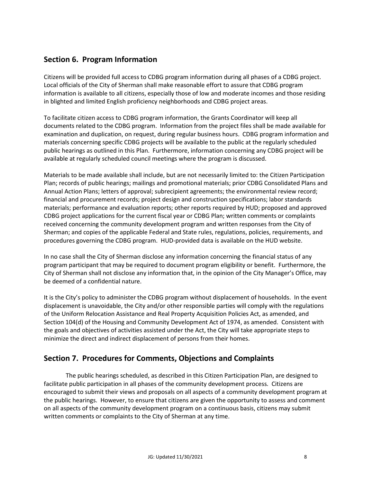# **Section 6. Program Information**

Citizens will be provided full access to CDBG program information during all phases of a CDBG project. Local officials of the City of Sherman shall make reasonable effort to assure that CDBG program information is available to all citizens, especially those of low and moderate incomes and those residing in blighted and limited English proficiency neighborhoods and CDBG project areas.

To facilitate citizen access to CDBG program information, the Grants Coordinator will keep all documents related to the CDBG program. Information from the project files shall be made available for examination and duplication, on request, during regular business hours. CDBG program information and materials concerning specific CDBG projects will be available to the public at the regularly scheduled public hearings as outlined in this Plan. Furthermore, information concerning any CDBG project will be available at regularly scheduled council meetings where the program is discussed.

Materials to be made available shall include, but are not necessarily limited to: the Citizen Participation Plan; records of public hearings; mailings and promotional materials; prior CDBG Consolidated Plans and Annual Action Plans; letters of approval; subrecipient agreements; the environmental review record; financial and procurement records; project design and construction specifications; labor standards materials; performance and evaluation reports; other reports required by HUD; proposed and approved CDBG project applications for the current fiscal year or CDBG Plan; written comments or complaints received concerning the community development program and written responses from the City of Sherman; and copies of the applicable Federal and State rules, regulations, policies, requirements, and procedures governing the CDBG program. HUD-provided data is available on the HUD website.

In no case shall the City of Sherman disclose any information concerning the financial status of any program participant that may be required to document program eligibility or benefit. Furthermore, the City of Sherman shall not disclose any information that, in the opinion of the City Manager's Office, may be deemed of a confidential nature.

It is the City's policy to administer the CDBG program without displacement of households. In the event displacement is unavoidable, the City and/or other responsible parties will comply with the regulations of the Uniform Relocation Assistance and Real Property Acquisition Policies Act, as amended, and Section 104(d) of the Housing and Community Development Act of 1974, as amended. Consistent with the goals and objectives of activities assisted under the Act, the City will take appropriate steps to minimize the direct and indirect displacement of persons from their homes.

# **Section 7. Procedures for Comments, Objections and Complaints**

The public hearings scheduled, as described in this Citizen Participation Plan, are designed to facilitate public participation in all phases of the community development process. Citizens are encouraged to submit their views and proposals on all aspects of a community development program at the public hearings. However, to ensure that citizens are given the opportunity to assess and comment on all aspects of the community development program on a continuous basis, citizens may submit written comments or complaints to the City of Sherman at any time.